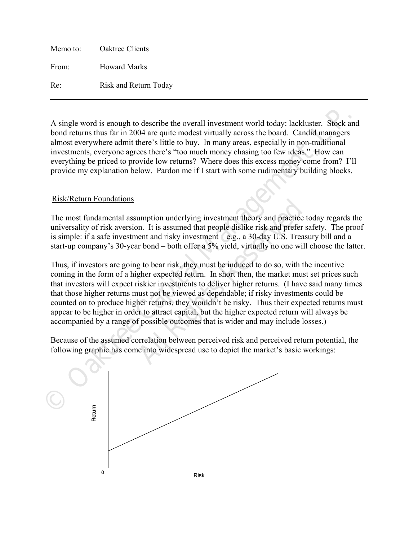Memo to: Oaktree Clients From: Howard Marks Re: Risk and Return Today

A single word is enough to describe the overall investment world today: lackluster. Stock and bond returns thus far in 2004 are quite modest virtually across the board. Candid managers almost everywhere admit there's little to buy. In many areas, especially in non-traditional investments, everyone agrees there's "too much money chasing too few ideas." How can everything be priced to provide low returns? Where does this excess money come from? I'll provide my explanation below. Pardon me if I start with some rudimentary building blocks.

## Risk/Return Foundations

The most fundamental assumption underlying investment theory and practice today regards the universality of risk aversion. It is assumed that people dislike risk and prefer safety. The proof is simple: if a safe investment and risky investment – e.g., a 30-day U.S. Treasury bill and a start-up company's 30-year bond – both offer a 5% yield, virtually no one will choose the latter.

A single word is enough to describe the overall investment world today: lackluster. Stock and bond ceturns thus far in 2004 are quite modest virtually across the board. Candid managers almost everything e brief to interes umption underlying investment theory and practice t<br>nn. It is assumed that people dislike risk and prefer s<br>nent and risky investment  $-$  e.g., a 30-day U.S. Treas<br>in bond  $-$  both offer a 5% yield, virtually no one will<br> Thus, if investors are going to bear risk, they must be induced to do so, with the incentive coming in the form of a higher expected return. In short then, the market must set prices such that investors will expect riskier investments to deliver higher returns. (I have said many times that those higher returns must not be viewed as dependable; if risky investments could be counted on to produce higher returns, they wouldn't be risky. Thus their expected returns must appear to be higher in order to attract capital, but the higher expected return will always be accompanied by a range of possible outcomes that is wider and may include losses.)

Because of the assumed correlation between perceived risk and perceived return potential, the following graphic has come into widespread use to depict the market's basic workings:

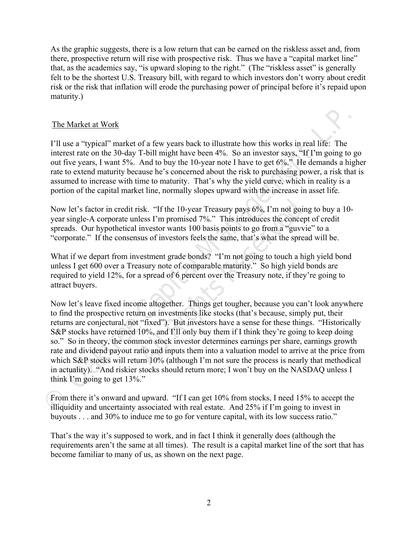As the graphic suggests, there is a low return that can be earned on the riskless asset and, from there, prospective return will rise with prospective risk. Thus we have a "capital market line" that, as the academics say, "is upward sloping to the right." (The "riskless asset" is generally felt to be the shortest U.S. Treasury bill, with regard to which investors don't worry about credit risk or the risk that inflation will erode the purchasing power of principal before it's repaid upon maturity.)

## The Market at Work

I'll use a "typical" market of a few years back to illustrate how this works in real life: The interest rate on the 30-day T-bill might have been 4%. So an investor says, "If I'm going to go out five years, I want 5%. And to buy the 10-year note I have to get 6%." He demands a higher rate to extend maturity because he's concerned about the risk to purchasing power, a risk that is assumed to increase with time to maturity. That's why the yield curve, which in reality is a portion of the capital market line, normally slopes upward with the increase in asset life.

Now let's factor in credit risk. "If the 10-year Treasury pays 6%, I'm not going to buy a 10 year single-A corporate unless I'm promised 7%." This introduces the concept of credit spreads. Our hypothetical investor wants 100 basis points to go from a "guvvie" to a "corporate." If the consensus of investors feels the same, that's what the spread will be.

What if we depart from investment grade bonds? "I'm not going to touch a high yield bond unless I get 600 over a Treasury note of comparable maturity." So high yield bonds are required to yield 12%, for a spread of 6 percent over the Treasury note, if they're going to attract buyers.

The Market at Work<br>
17 ll use a "typical" market of a few years back to illustrate how this works in real life: The<br>
11 ll use a "typical" market of a few years back to illustrate how this works in real life: The<br>
interes risk. "If the 10-year Treasury pays 6%, I'm not goin<br>less I'm promised 7%." This introduces the concep<br>investor wants 100 basis points to go from a "guvvis<br>sus of investors feels the same, that's what the sprea<br>vestment gr Now let's leave fixed income altogether. Things get tougher, because you can't look anywhere to find the prospective return on investments like stocks (that's because, simply put, their returns are conjectural, not "fixed"). But investors have a sense for these things. "Historically S&P stocks have returned 10%, and I'll only buy them if I think they're going to keep doing so." So in theory, the common stock investor determines earnings per share, earnings growth rate and dividend payout ratio and inputs them into a valuation model to arrive at the price from which S&P stocks will return 10% (although I'm not sure the process is nearly that methodical in actuality). "And riskier stocks should return more; I won't buy on the NASDAQ unless I think I'm going to get 13%."

From there it's onward and upward. "If I can get 10% from stocks, I need 15% to accept the illiquidity and uncertainty associated with real estate. And 25% if I'm going to invest in buyouts . . . and 30% to induce me to go for venture capital, with its low success ratio."

That's the way it's supposed to work, and in fact I think it generally does (although the requirements aren't the same at all times). The result is a capital market line of the sort that has become familiar to many of us, as shown on the next page.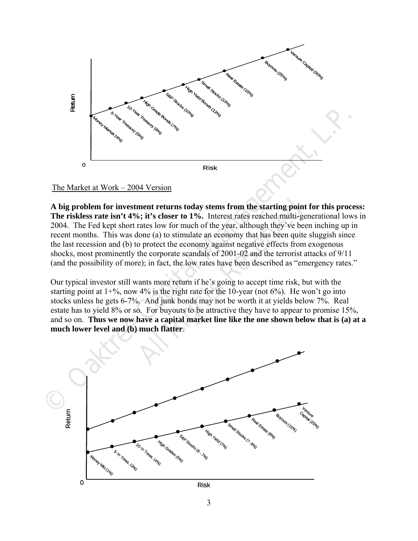

The Market at Work  $-2004$  Version

ment returns today stems from the starting point<br>6; it's closer to 1%. Interest rates reached multi-gent rates low for much of the year, although they've bee<br>lone (a) to stimulate an economy that has been quite<br>o protect t **A big problem for investment returns today stems from the starting point for this process: The riskless rate isn't 4%; it's closer to 1%.** Interest rates reached multi-generational lows in 2004. The Fed kept short rates low for much of the year, although they've been inching up in recent months. This was done (a) to stimulate an economy that has been quite sluggish since the last recession and (b) to protect the economy against negative effects from exogenous shocks, most prominently the corporate scandals of 2001-02 and the terrorist attacks of 9/11 (and the possibility of more); in fact, the low rates have been described as "emergency rates."

Our typical investor still wants more return if he's going to accept time risk, but with the starting point at  $1+\%$ , now  $4\%$  is the right rate for the 10-year (not  $6\%$ ). He won't go into stocks unless he gets 6-7%. And junk bonds may not be worth it at yields below 7%. Real estate has to yield 8% or so. For buyouts to be attractive they have to appear to promise 15%, and so on. **Thus we now have a capital market line like the one shown below that is (a) at a much lower level and (b) much flatter**.

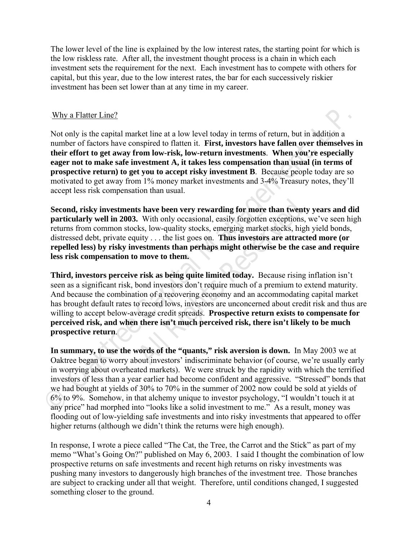The lower level of the line is explained by the low interest rates, the starting point for which is the low riskless rate. After all, the investment thought process is a chain in which each investment sets the requirement for the next. Each investment has to compete with others for capital, but this year, due to the low interest rates, the bar for each successively riskier investment has been set lower than at any time in my career.

## Why a Flatter Line?

Not only is the capital market line at a low level today in terms of return, but in addition a number of factors have conspired to flatten it. **First, investors have fallen over themselves in their effort to get away from low-risk, low-return investments**. **When you're especially eager not to make safe investment A, it takes less compensation than usual (in terms of prospective return) to get you to accept risky investment B**. Because people today are so motivated to get away from 1% money market investments and 3-4% Treasury notes, they'll accept less risk compensation than usual.

**Second, risky investments have been very rewarding for more than twenty years and did particularly well in 2003.** With only occasional, easily forgotten exceptions, we've seen high returns from common stocks, low-quality stocks, emerging market stocks, high yield bonds, distressed debt, private equity . . . the list goes on. **Thus investors are attracted more (or repelled less) by risky investments than perhaps might otherwise be the case and require less risk compensation to move to them.** 

Why a Flatter Line?<br>
Not only is the capital market line at a low level today in terms of return, but in addition a<br>
number of factors have conspired to flatter, it. First, investors have fallent over the<br>
method of the c **All Rights Resp. 2013** Shave been very rewarding for more than twenty. With only occasional, easily forgotten exceptions, ks, low-quality stocks, emerging market stocks, hightiv ... the list goes on. Thus investors are at **Third, investors perceive risk as being quite limited today.** Because rising inflation isn't seen as a significant risk, bond investors don't require much of a premium to extend maturity. And because the combination of a recovering economy and an accommodating capital market has brought default rates to record lows, investors are unconcerned about credit risk and thus are willing to accept below-average credit spreads. **Prospective return exists to compensate for perceived risk, and when there isn't much perceived risk, there isn't likely to be much prospective return**.

**In summary, to use the words of the "quants," risk aversion is down.** In May 2003 we at Oaktree began to worry about investors' indiscriminate behavior (of course, we're usually early in worrying about overheated markets). We were struck by the rapidity with which the terrified investors of less than a year earlier had become confident and aggressive. "Stressed" bonds that we had bought at yields of 30% to 70% in the summer of 2002 now could be sold at yields of 6% to 9%. Somehow, in that alchemy unique to investor psychology, "I wouldn't touch it at any price" had morphed into "looks like a solid investment to me." As a result, money was flooding out of low-yielding safe investments and into risky investments that appeared to offer higher returns (although we didn't think the returns were high enough).

In response, I wrote a piece called "The Cat, the Tree, the Carrot and the Stick" as part of my memo "What's Going On?" published on May 6, 2003. I said I thought the combination of low prospective returns on safe investments and recent high returns on risky investments was pushing many investors to dangerously high branches of the investment tree. Those branches are subject to cracking under all that weight. Therefore, until conditions changed, I suggested something closer to the ground.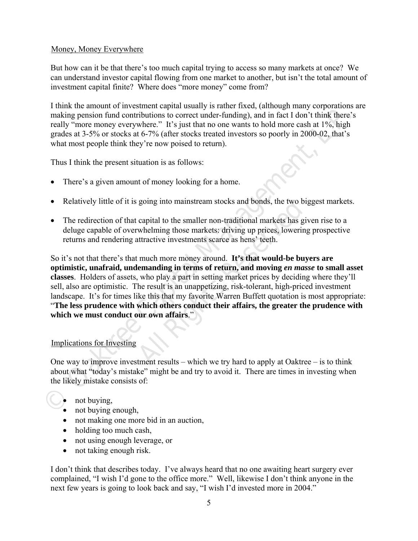# Money, Money Everywhere

But how can it be that there's too much capital trying to access so many markets at once? We can understand investor capital flowing from one market to another, but isn't the total amount of investment capital finite? Where does "more money" come from?

I think the amount of investment capital usually is rather fixed, (although many corporations are making pension fund contributions to correct under-funding), and in fact I don't think there's really "more money everywhere." It's just that no one wants to hold more cash at 1%, high grades at 3-5% or stocks at 6-7% (after stocks treated investors so poorly in 2000-02, that's what most people think they're now poised to return).

Thus I think the present situation is as follows:

- There's a given amount of money looking for a home.
- Relatively little of it is going into mainstream stocks and bonds, the two biggest markets.
- The redirection of that capital to the smaller non-traditional markets has given rise to a deluge capable of overwhelming those markets: driving up prices, lowering prospective returns and rendering attractive investments scarce as hens' teeth.

Frame the amount of two-streament-tapital states we state free treats, (antonoge many conjoustants and the likely mission fund contributions to correct under-funding), and in fact I don't think there's grades at 3-5% or st going into mainstream stocks and bonds, the two big<br>capital to the smaller non-traditional markets has giv<br>whelming those markets: driving up prices, lowering<br>attractive investments scarce as hens' teeth.<br>much more money a So it's not that there's that much more money around. **It's that would-be buyers are optimistic, unafraid, undemanding in terms of return, and moving** *en masse* **to small asset classes**. Holders of assets, who play a part in setting market prices by deciding where they'll sell, also are optimistic. The result is an unappetizing, risk-tolerant, high-priced investment landscape. It's for times like this that my favorite Warren Buffett quotation is most appropriate: "**The less prudence with which others conduct their affairs, the greater the prudence with which we must conduct our own affairs**."

# Implications for Investing

One way to improve investment results – which we try hard to apply at Oaktree – is to think about what "today's mistake" might be and try to avoid it. There are times in investing when the likely mistake consists of:

- not buying,
- not buying enough,
- not making one more bid in an auction,
- holding too much cash,
- not using enough leverage, or
- not taking enough risk.

I don't think that describes today. I've always heard that no one awaiting heart surgery ever complained, "I wish I'd gone to the office more." Well, likewise I don't think anyone in the next few years is going to look back and say, "I wish I'd invested more in 2004."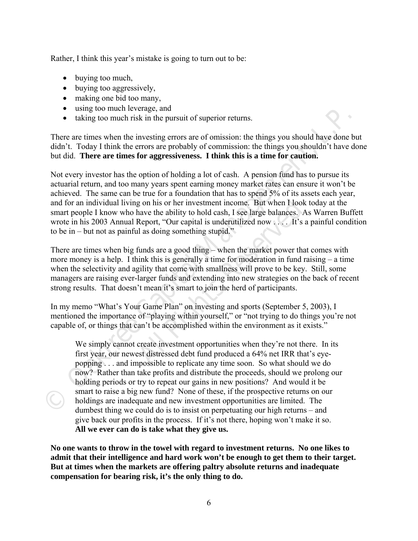Rather, I think this year's mistake is going to turn out to be:

- buying too much,
- buying too aggressively,
- making one bid too many,
- using too much leverage, and
- taking too much risk in the pursuit of superior returns.

There are times when the investing errors are of omission: the things you should have done but didn't. Today I think the errors are probably of commission: the things you shouldn't have done but did. **There are times for aggressiveness. I think this is a time for caution.** 

**•** using too much leverage, and<br>**•** taking too much risk in the pursuit of superior returns.<br>There are times when the investing errors are of omission: the things you should have done but<br>didn't. Today 1 think the crors a Not every investor has the option of holding a lot of cash. A pension fund has to pursue its actuarial return, and too many years spent earning money market rates can ensure it won't be achieved. The same can be true for a foundation that has to spend 5% of its assets each year, and for an individual living on his or her investment income. But when I look today at the smart people I know who have the ability to hold cash, I see large balances. As Warren Buffett wrote in his 2003 Annual Report, "Our capital is underutilized now . . . . It's a painful condition to be in – but not as painful as doing something stupid."

g on his or her investment income. But when I look<br>have the ability to hold cash, I see large balances. A<br>Report, "Our capital is underutilized now . . . . It's a<br>il as doing something stupid."<br>funds are a good thing – whe There are times when big funds are a good thing – when the market power that comes with more money is a help. I think this is generally a time for moderation in fund raising – a time when the selectivity and agility that come with smallness will prove to be key. Still, some managers are raising ever-larger funds and extending into new strategies on the back of recent strong results. That doesn't mean it's smart to join the herd of participants.

In my memo "What's Your Game Plan" on investing and sports (September 5, 2003), I mentioned the importance of "playing within yourself," or "not trying to do things you're not capable of, or things that can't be accomplished within the environment as it exists."

We simply cannot create investment opportunities when they're not there. In its first year, our newest distressed debt fund produced a 64% net IRR that's eyepopping . . . and impossible to replicate any time soon. So what should we do now? Rather than take profits and distribute the proceeds, should we prolong our holding periods or try to repeat our gains in new positions? And would it be smart to raise a big new fund? None of these, if the prospective returns on our holdings are inadequate and new investment opportunities are limited. The dumbest thing we could do is to insist on perpetuating our high returns – and give back our profits in the process. If it's not there, hoping won't make it so. **All we ever can do is take what they give us.** 

**No one wants to throw in the towel with regard to investment returns. No one likes to admit that their intelligence and hard work won't be enough to get them to their target. But at times when the markets are offering paltry absolute returns and inadequate compensation for bearing risk, it's the only thing to do.**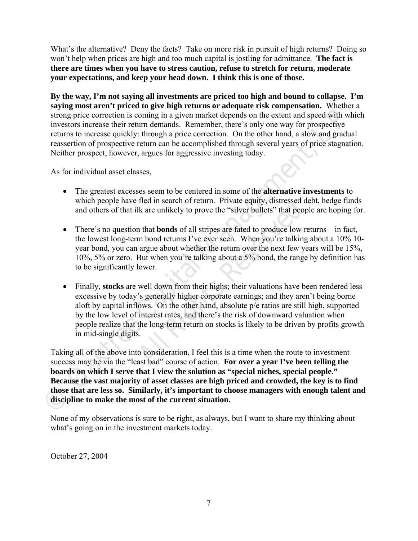What's the alternative? Deny the facts? Take on more risk in pursuit of high returns? Doing so won't help when prices are high and too much capital is jostling for admittance. **The fact is there are times when you have to stress caution, refuse to stretch for return, moderate your expectations, and keep your head down. I think this is one of those.** 

**By the way, I'm not saying all investments are priced too high and bound to collapse. I'm saying most aren't priced to give high returns or adequate risk compensation.** Whether a strong price correction is coming in a given market depends on the extent and speed with which investors increase their return demands. Remember, there's only one way for prospective returns to increase quickly: through a price correction. On the other hand, a slow and gradual reassertion of prospective return can be accomplished through several years of price stagnation. Neither prospect, however, argues for aggressive investing today.

As for individual asset classes,

- The greatest excesses seem to be centered in some of the **alternative investments** to which people have fled in search of return. Private equity, distressed debt, hedge funds and others of that ilk are unlikely to prove the "silver bullets" that people are hoping for.
- There's no question that **bonds** of all stripes are fated to produce low returns in fact, the lowest long-term bond returns I've ever seen. When you're talking about a 10% 10 year bond, you can argue about whether the return over the next few years will be 15%, 10%, 5% or zero. But when you're talking about a 5% bond, the range by definition has to be significantly lower.
- fled in search of return. Private equity, distressed d<br>lk are unlikely to prove the "silver bullets" that peop<br>n that **bonds** of all stripes are fated to produce low re<br>m bond returns I've ever seen. When you're talking<br>a Finally, **stocks** are well down from their highs; their valuations have been rendered less excessive by today's generally higher corporate earnings; and they aren't being borne aloft by capital inflows. On the other hand, absolute p/e ratios are still high, supported by the low level of interest rates, and there's the risk of downward valuation when people realize that the long-term return on stocks is likely to be driven by profits growth in mid-single digits.

Starting times are represented to generate that the presente rase comperison is competent to when the method with which method in the setter return demands. Remember, there is only one way for prospective terms to increase Taking all of the above into consideration, I feel this is a time when the route to investment success may be via the "least bad" course of action. **For over a year I've been telling the boards on which I serve that I view the solution as "special niches, special people." Because the vast majority of asset classes are high priced and crowded, the key is to find those that are less so. Similarly, it's important to choose managers with enough talent and discipline to make the most of the current situation.** 

None of my observations is sure to be right, as always, but I want to share my thinking about what's going on in the investment markets today.

October 27, 2004